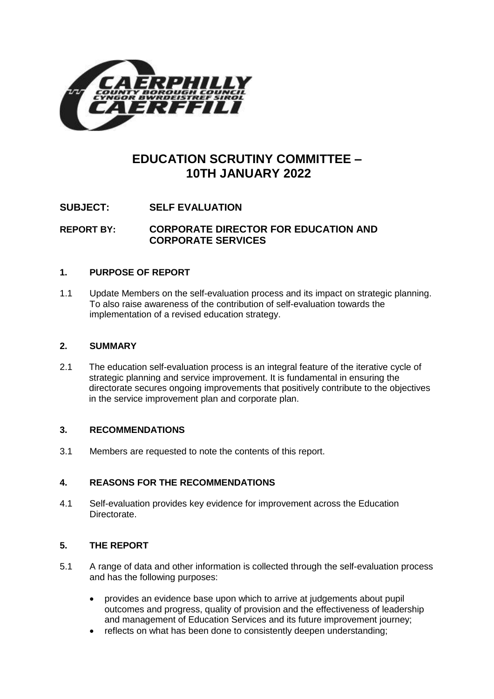

# **EDUCATION SCRUTINY COMMITTEE – 10TH JANUARY 2022**

**SUBJECT: SELF EVALUATION**

**REPORT BY: CORPORATE DIRECTOR FOR EDUCATION AND CORPORATE SERVICES**

## **1. PURPOSE OF REPORT**

1.1 Update Members on the self-evaluation process and its impact on strategic planning. To also raise awareness of the contribution of self-evaluation towards the implementation of a revised education strategy.

### **2. SUMMARY**

2.1 The education self-evaluation process is an integral feature of the iterative cycle of strategic planning and service improvement. It is fundamental in ensuring the directorate secures ongoing improvements that positively contribute to the objectives in the service improvement plan and corporate plan.

### **3. RECOMMENDATIONS**

3.1 Members are requested to note the contents of this report.

# **4. REASONS FOR THE RECOMMENDATIONS**

4.1 Self-evaluation provides key evidence for improvement across the Education Directorate.

# **5. THE REPORT**

- 5.1 A range of data and other information is collected through the self-evaluation process and has the following purposes:
	- provides an evidence base upon which to arrive at judgements about pupil outcomes and progress, quality of provision and the effectiveness of leadership and management of Education Services and its future improvement journey;
	- reflects on what has been done to consistently deepen understanding;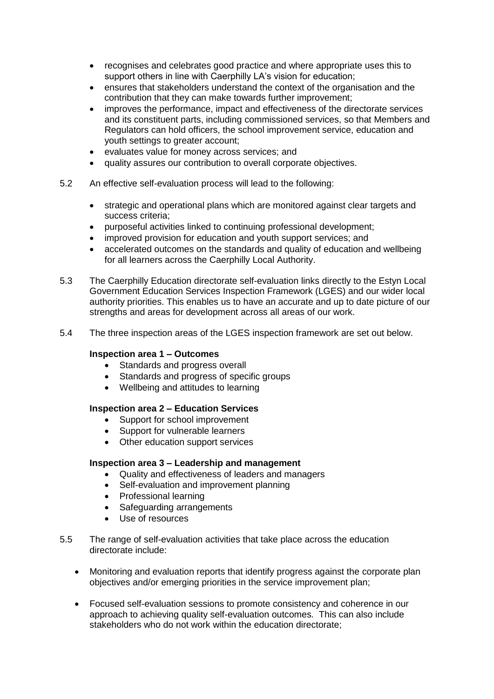- recognises and celebrates good practice and where appropriate uses this to support others in line with Caerphilly LA's vision for education;
- ensures that stakeholders understand the context of the organisation and the contribution that they can make towards further improvement;
- improves the performance, impact and effectiveness of the directorate services and its constituent parts, including commissioned services, so that Members and Regulators can hold officers, the school improvement service, education and youth settings to greater account;
- evaluates value for money across services; and
- quality assures our contribution to overall corporate objectives.
- 5.2 An effective self-evaluation process will lead to the following:
	- strategic and operational plans which are monitored against clear targets and success criteria;
	- purposeful activities linked to continuing professional development;
	- improved provision for education and youth support services; and
	- accelerated outcomes on the standards and quality of education and wellbeing for all learners across the Caerphilly Local Authority.
- 5.3 The Caerphilly Education directorate self-evaluation links directly to the Estyn Local Government Education Services Inspection Framework (LGES) and our wider local authority priorities. This enables us to have an accurate and up to date picture of our strengths and areas for development across all areas of our work.
- 5.4 The three inspection areas of the LGES inspection framework are set out below.

#### **Inspection area 1 – Outcomes**

- Standards and progress overall
- Standards and progress of specific groups
- Wellbeing and attitudes to learning

#### **Inspection area 2 – Education Services**

- Support for school improvement
- Support for vulnerable learners
- Other education support services

#### **Inspection area 3 – Leadership and management**

- Quality and effectiveness of leaders and managers
- Self-evaluation and improvement planning
- Professional learning
- Safeguarding arrangements
- Use of resources
- 5.5 The range of self-evaluation activities that take place across the education directorate include:
	- Monitoring and evaluation reports that identify progress against the corporate plan objectives and/or emerging priorities in the service improvement plan;
	- Focused self-evaluation sessions to promote consistency and coherence in our approach to achieving quality self-evaluation outcomes. This can also include stakeholders who do not work within the education directorate;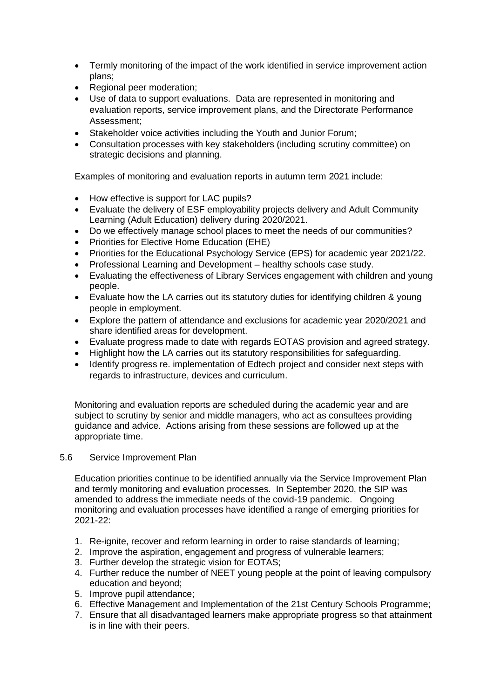- Termly monitoring of the impact of the work identified in service improvement action plans;
- Regional peer moderation;
- Use of data to support evaluations. Data are represented in monitoring and evaluation reports, service improvement plans, and the Directorate Performance Assessment;
- Stakeholder voice activities including the Youth and Junior Forum;
- Consultation processes with key stakeholders (including scrutiny committee) on strategic decisions and planning.

Examples of monitoring and evaluation reports in autumn term 2021 include:

- How effective is support for LAC pupils?
- Evaluate the delivery of ESF employability projects delivery and Adult Community Learning (Adult Education) delivery during 2020/2021.
- Do we effectively manage school places to meet the needs of our communities?
- Priorities for Elective Home Education (EHE)
- Priorities for the Educational Psychology Service (EPS) for academic year 2021/22.
- Professional Learning and Development healthy schools case study.
- Evaluating the effectiveness of Library Services engagement with children and young people.
- Evaluate how the LA carries out its statutory duties for identifying children & young people in employment.
- Explore the pattern of attendance and exclusions for academic year 2020/2021 and share identified areas for development.
- Evaluate progress made to date with regards EOTAS provision and agreed strategy.
- Highlight how the LA carries out its statutory responsibilities for safeguarding.
- Identify progress re. implementation of Edtech project and consider next steps with regards to infrastructure, devices and curriculum.

Monitoring and evaluation reports are scheduled during the academic year and are subject to scrutiny by senior and middle managers, who act as consultees providing guidance and advice. Actions arising from these sessions are followed up at the appropriate time.

### 5.6 Service Improvement Plan

Education priorities continue to be identified annually via the Service Improvement Plan and termly monitoring and evaluation processes. In September 2020, the SIP was amended to address the immediate needs of the covid-19 pandemic. Ongoing monitoring and evaluation processes have identified a range of emerging priorities for 2021-22:

- 1. Re-ignite, recover and reform learning in order to raise standards of learning;
- 2. Improve the aspiration, engagement and progress of vulnerable learners;
- 3. Further develop the strategic vision for EOTAS;
- 4. Further reduce the number of NEET young people at the point of leaving compulsory education and beyond;
- 5. Improve pupil attendance;
- 6. Effective Management and Implementation of the 21st Century Schools Programme;
- 7. Ensure that all disadvantaged learners make appropriate progress so that attainment is in line with their peers.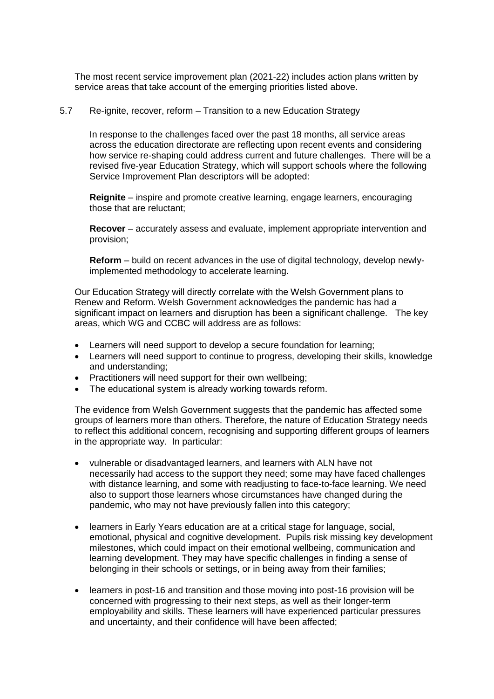The most recent service improvement plan (2021-22) includes action plans written by service areas that take account of the emerging priorities listed above.

#### 5.7 Re-ignite, recover, reform – Transition to a new Education Strategy

In response to the challenges faced over the past 18 months, all service areas across the education directorate are reflecting upon recent events and considering how service re-shaping could address current and future challenges. There will be a revised five-year Education Strategy, which will support schools where the following Service Improvement Plan descriptors will be adopted:

**Reignite** – inspire and promote creative learning, engage learners, encouraging those that are reluctant;

**Recover** – accurately assess and evaluate, implement appropriate intervention and provision;

**Reform** – build on recent advances in the use of digital technology, develop newlyimplemented methodology to accelerate learning.

Our Education Strategy will directly correlate with the Welsh Government plans to Renew and Reform. Welsh Government acknowledges the pandemic has had a significant impact on learners and disruption has been a significant challenge. The key areas, which WG and CCBC will address are as follows:

- Learners will need support to develop a secure foundation for learning;
- Learners will need support to continue to progress, developing their skills, knowledge and understanding;
- Practitioners will need support for their own wellbeing:
- The educational system is already working towards reform.

The evidence from Welsh Government suggests that the pandemic has affected some groups of learners more than others. Therefore, the nature of Education Strategy needs to reflect this additional concern, recognising and supporting different groups of learners in the appropriate way. In particular:

- vulnerable or disadvantaged learners, and learners with ALN have not necessarily had access to the support they need; some may have faced challenges with distance learning, and some with readjusting to face-to-face learning. We need also to support those learners whose circumstances have changed during the pandemic, who may not have previously fallen into this category;
- learners in Early Years education are at a critical stage for language, social, emotional, physical and cognitive development. Pupils risk missing key development milestones, which could impact on their emotional wellbeing, communication and learning development. They may have specific challenges in finding a sense of belonging in their schools or settings, or in being away from their families;
- learners in post-16 and transition and those moving into post-16 provision will be concerned with progressing to their next steps, as well as their longer-term employability and skills. These learners will have experienced particular pressures and uncertainty, and their confidence will have been affected;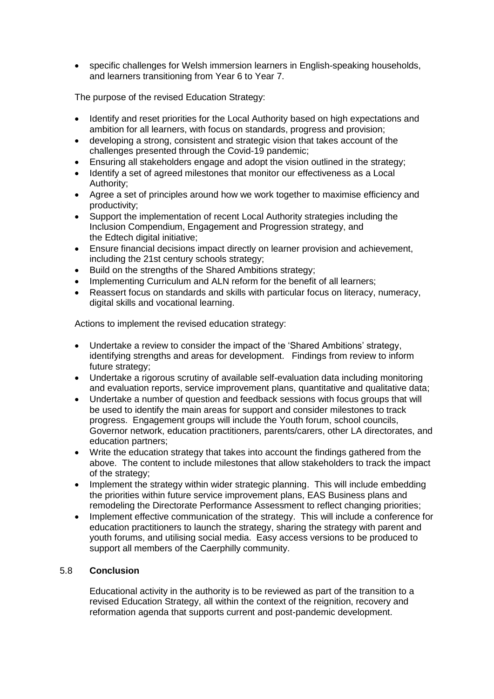specific challenges for Welsh immersion learners in English-speaking households, and learners transitioning from Year 6 to Year 7.

The purpose of the revised Education Strategy:

- Identify and reset priorities for the Local Authority based on high expectations and ambition for all learners, with focus on standards, progress and provision;
- developing a strong, consistent and strategic vision that takes account of the challenges presented through the Covid-19 pandemic;
- Ensuring all stakeholders engage and adopt the vision outlined in the strategy;
- Identify a set of agreed milestones that monitor our effectiveness as a Local Authority;
- Agree a set of principles around how we work together to maximise efficiency and productivity;
- Support the implementation of recent Local Authority strategies including the Inclusion Compendium, Engagement and Progression strategy, and the Edtech digital initiative;
- Ensure financial decisions impact directly on learner provision and achievement, including the 21st century schools strategy;
- Build on the strengths of the Shared Ambitions strategy;
- Implementing Curriculum and ALN reform for the benefit of all learners;
- Reassert focus on standards and skills with particular focus on literacy, numeracy, digital skills and vocational learning.

Actions to implement the revised education strategy:

- Undertake a review to consider the impact of the 'Shared Ambitions' strategy, identifying strengths and areas for development. Findings from review to inform future strategy;
- Undertake a rigorous scrutiny of available self-evaluation data including monitoring and evaluation reports, service improvement plans, quantitative and qualitative data;
- Undertake a number of question and feedback sessions with focus groups that will be used to identify the main areas for support and consider milestones to track progress. Engagement groups will include the Youth forum, school councils, Governor network, education practitioners, parents/carers, other LA directorates, and education partners;
- Write the education strategy that takes into account the findings gathered from the above. The content to include milestones that allow stakeholders to track the impact of the strategy;
- Implement the strategy within wider strategic planning. This will include embedding the priorities within future service improvement plans, EAS Business plans and remodeling the Directorate Performance Assessment to reflect changing priorities;
- Implement effective communication of the strategy. This will include a conference for education practitioners to launch the strategy, sharing the strategy with parent and youth forums, and utilising social media. Easy access versions to be produced to support all members of the Caerphilly community.

### 5.8 **Conclusion**

Educational activity in the authority is to be reviewed as part of the transition to a revised Education Strategy, all within the context of the reignition, recovery and reformation agenda that supports current and post-pandemic development.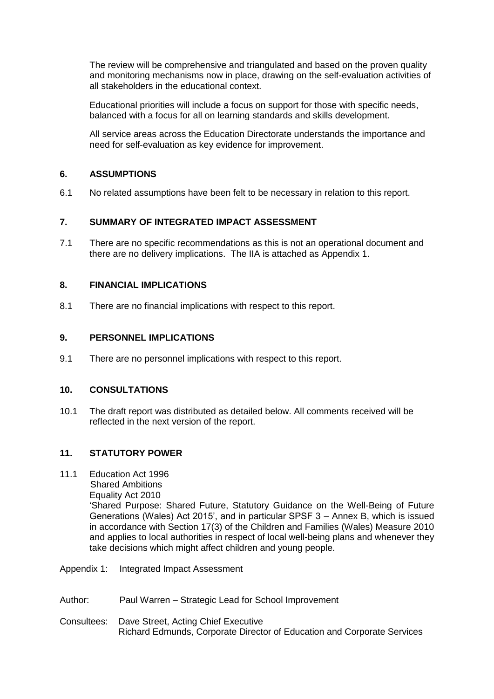The review will be comprehensive and triangulated and based on the proven quality and monitoring mechanisms now in place, drawing on the self-evaluation activities of all stakeholders in the educational context.

Educational priorities will include a focus on support for those with specific needs, balanced with a focus for all on learning standards and skills development.

All service areas across the Education Directorate understands the importance and need for self-evaluation as key evidence for improvement.

## **6. ASSUMPTIONS**

6.1 No related assumptions have been felt to be necessary in relation to this report.

## **7. SUMMARY OF INTEGRATED IMPACT ASSESSMENT**

7.1 There are no specific recommendations as this is not an operational document and there are no delivery implications. The IIA is attached as Appendix 1.

### **8. FINANCIAL IMPLICATIONS**

8.1 There are no financial implications with respect to this report.

### **9. PERSONNEL IMPLICATIONS**

9.1 There are no personnel implications with respect to this report.

### **10. CONSULTATIONS**

10.1 The draft report was distributed as detailed below. All comments received will be reflected in the next version of the report.

### **11. STATUTORY POWER**

- 11.1 Education Act 1996 Shared Ambitions Equality Act 2010 'Shared Purpose: Shared Future, Statutory Guidance on the Well-Being of Future Generations (Wales) Act 2015', and in particular SPSF 3 – Annex B, which is issued in accordance with Section 17(3) of the Children and Families (Wales) Measure 2010 and applies to local authorities in respect of local well-being plans and whenever they take decisions which might affect children and young people.
- Appendix 1: Integrated Impact Assessment
- Author: Paul Warren Strategic Lead for School Improvement
- Consultees: Dave Street, Acting Chief Executive Richard Edmunds, Corporate Director of Education and Corporate Services